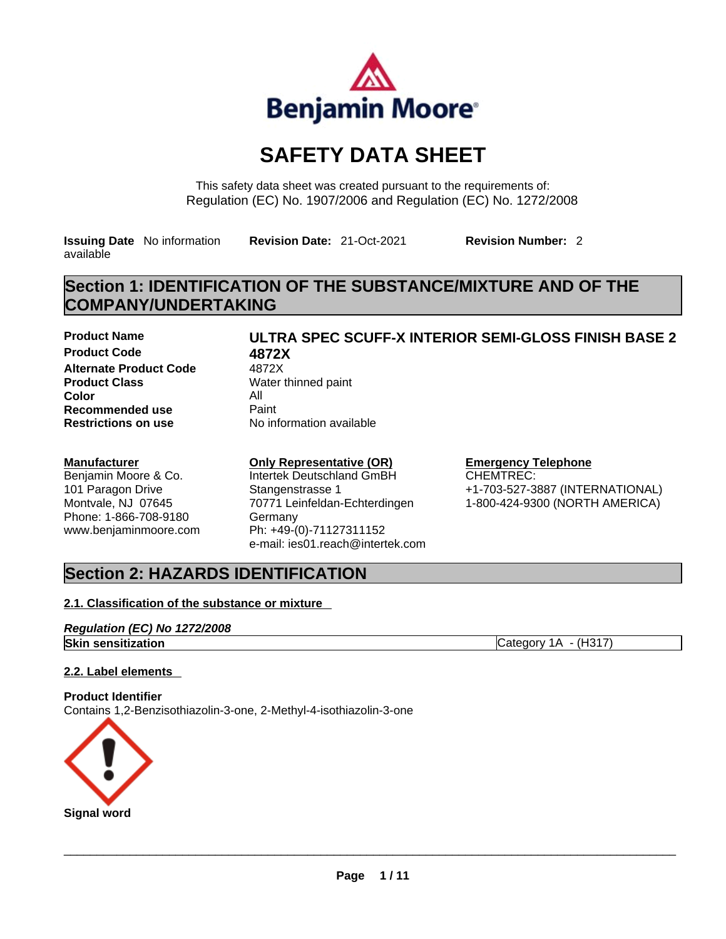

# **SAFETY DATA SHEET**

This safety data sheet was created pursuant to the requirements of: Regulation (EC) No. 1907/2006 and Regulation (EC) No. 1272/2008

**Issuing Date** No information available

**Revision Date:** 21-Oct-2021 **Revision Number:** 2

# **Section 1: IDENTIFICATION OF THE SUBSTANCE/MIXTURE AND OF THE COMPANY/UNDERTAKING**

**Product Name ULTRA SPEC SCUFF-X INTERIOR SEMI-GLOSS FINISH BASE 2 Product Code 6872X<br>
<b>Alternate Product Code** 4872X **Alternate Product Code Product Class Water thinned paint Color** All **Recommended use** Paint<br> **Restrictions on use** No in

**Restrictions on use** No information available

### **Manufacturer**

Benjamin Moore & Co. 101 Paragon Drive Montvale, NJ 07645 Phone: 1-866-708-9180 www.benjaminmoore.com

### **Only Representative (OR)**

Intertek Deutschland GmBH Stangenstrasse 1 70771 Leinfeldan-Echterdingen Germany Ph: +49-(0)-71127311152 e-mail: ies01.reach@intertek.com

### **Emergency Telephone**

CHEMTREC: +1-703-527-3887 (INTERNATIONAL) 1-800-424-9300 (NORTH AMERICA)

# **Section 2: HAZARDS IDENTIFICATION**

### **2.1. Classification of the substance or mixture**

### *Regulation (EC) No 1272/2008* **Skin sensitization** Category 1A - (H317)

### **2.2. Label elements**

**Product Identifier** Contains 1,2-Benzisothiazolin-3-one, 2-Methyl-4-isothiazolin-3-one

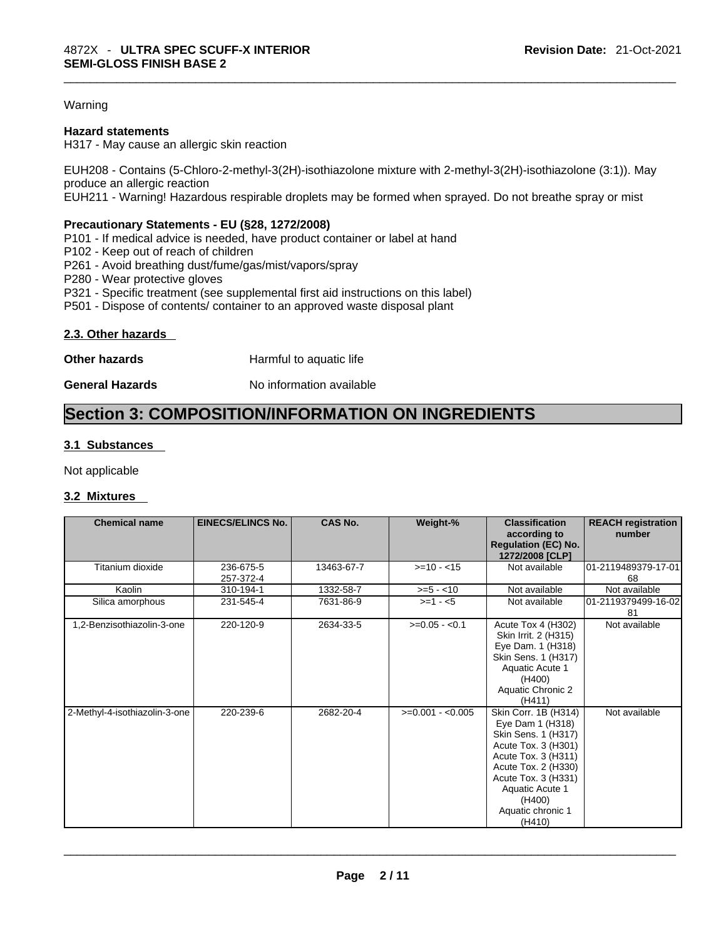### Warning

### **Hazard statements**

H317 - May cause an allergic skin reaction

EUH208 - Contains (5-Chloro-2-methyl-3(2H)-isothiazolone mixture with 2-methyl-3(2H)-isothiazolone (3:1)). May produce an allergic reaction EUH211 - Warning! Hazardous respirable droplets may be formed when sprayed. Do not breathe spray or mist

### **Precautionary Statements - EU (§28, 1272/2008)**

P101 - If medical advice is needed, have product container or label at hand

P102 - Keep out of reach of children

P261 - Avoid breathing dust/fume/gas/mist/vapors/spray

P280 - Wear protective gloves

P321 - Specific treatment (see supplemental first aid instructions on this label)

P501 - Dispose of contents/ container to an approved waste disposal plant

### **2.3. Other hazards**

**Other hazards Harmful to aquatic life** 

**General Hazards No information available** 

## **Section 3: COMPOSITION/INFORMATION ON INGREDIENTS**

### **3.1 Substances**

Not applicable

### **3.2 Mixtures**

| <b>Chemical name</b>          | <b>EINECS/ELINCS No.</b> | <b>CAS No.</b> | Weight-%          | <b>Classification</b><br>according to<br><b>Regulation (EC) No.</b><br>1272/2008 [CLP]                                                                                                                                  | <b>REACH registration</b><br>number |
|-------------------------------|--------------------------|----------------|-------------------|-------------------------------------------------------------------------------------------------------------------------------------------------------------------------------------------------------------------------|-------------------------------------|
| Titanium dioxide              | 236-675-5<br>257-372-4   | 13463-67-7     | $>=10 - 15$       | Not available                                                                                                                                                                                                           | 01-2119489379-17-01<br>68           |
| Kaolin                        | 310-194-1                | 1332-58-7      | $>= 5 - 10$       | Not available                                                                                                                                                                                                           | Not available                       |
| Silica amorphous              | 231-545-4                | 7631-86-9      | $>=1 - 5$         | Not available                                                                                                                                                                                                           | 01-2119379499-16-02<br>81           |
| 1,2-Benzisothiazolin-3-one    | 220-120-9                | 2634-33-5      | $>=0.05 - 0.1$    | Acute Tox 4 (H302)<br>Skin Irrit. 2 (H315)<br>Eye Dam. 1 (H318)<br>Skin Sens. 1 (H317)<br>Aquatic Acute 1<br>(H400)<br>Aquatic Chronic 2<br>(H411)                                                                      | Not available                       |
| 2-Methyl-4-isothiazolin-3-one | 220-239-6                | 2682-20-4      | $>=0.001 - 0.005$ | Skin Corr. 1B (H314)<br>Eye Dam 1 (H318)<br>Skin Sens. 1 (H317)<br>Acute Tox. 3 (H301)<br>Acute Tox. 3 (H311)<br>Acute Tox. 2 (H330)<br>Acute Tox. 3 (H331)<br>Aquatic Acute 1<br>(H400)<br>Aquatic chronic 1<br>(H410) | Not available                       |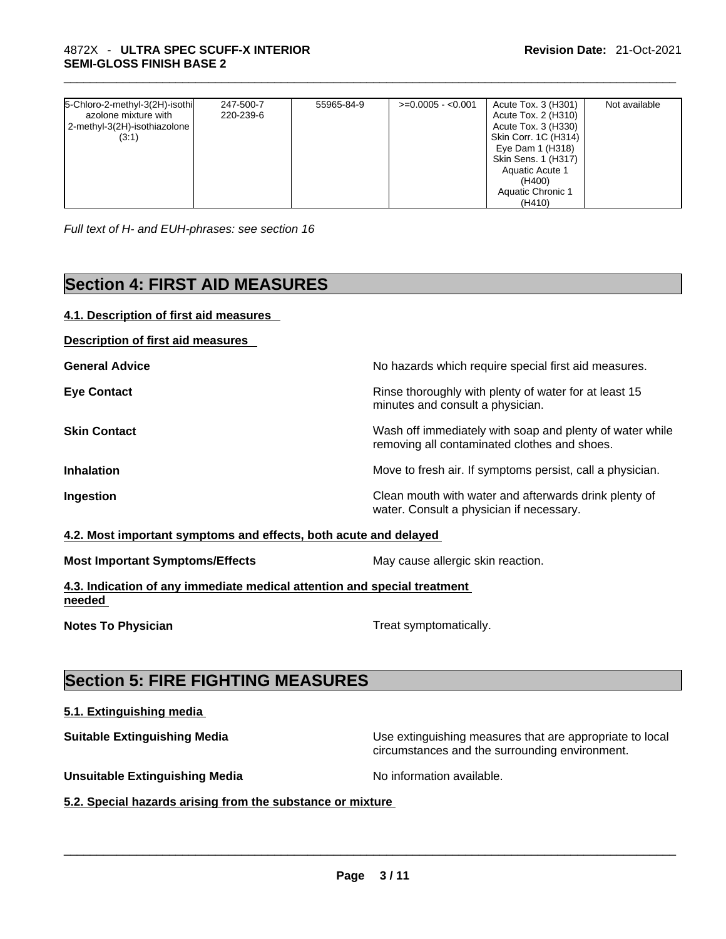| 5-Chloro-2-methyl-3(2H)-isothi | 247-500-7 | 55965-84-9 | $>=0.0005 - 0.001$ | Acute Tox. 3 (H301)  | Not available |
|--------------------------------|-----------|------------|--------------------|----------------------|---------------|
| azolone mixture with           | 220-239-6 |            |                    | Acute Tox. 2 (H310)  |               |
| 2-methyl-3(2H)-isothiazolone   |           |            |                    | Acute Tox. 3 (H330)  |               |
| (3:1)                          |           |            |                    | Skin Corr. 1C (H314) |               |
|                                |           |            |                    | Eye Dam 1 (H318)     |               |
|                                |           |            |                    | Skin Sens. 1 (H317)  |               |
|                                |           |            |                    | Aquatic Acute 1      |               |
|                                |           |            |                    | (H400)               |               |
|                                |           |            |                    | Aquatic Chronic 1    |               |
|                                |           |            |                    | (H410)               |               |

*Full text of H- and EUH-phrases: see section 16* 

# **Section 4: FIRST AID MEASURES**

| 4.1. Description of first aid measures                                             |                                                                                                          |
|------------------------------------------------------------------------------------|----------------------------------------------------------------------------------------------------------|
| <b>Description of first aid measures</b>                                           |                                                                                                          |
| <b>General Advice</b>                                                              | No hazards which require special first aid measures.                                                     |
| <b>Eye Contact</b>                                                                 | Rinse thoroughly with plenty of water for at least 15<br>minutes and consult a physician.                |
| <b>Skin Contact</b>                                                                | Wash off immediately with soap and plenty of water while<br>removing all contaminated clothes and shoes. |
| <b>Inhalation</b>                                                                  | Move to fresh air. If symptoms persist, call a physician.                                                |
| Ingestion                                                                          | Clean mouth with water and afterwards drink plenty of<br>water. Consult a physician if necessary.        |
| 4.2. Most important symptoms and effects, both acute and delayed                   |                                                                                                          |
| <b>Most Important Symptoms/Effects</b>                                             | May cause allergic skin reaction.                                                                        |
| 4.3. Indication of any immediate medical attention and special treatment<br>needed |                                                                                                          |
| <b>Notes To Physician</b>                                                          | Treat symptomatically.                                                                                   |
|                                                                                    |                                                                                                          |
| <b>Section 5: FIRE FIGHTING MEASURES</b>                                           |                                                                                                          |
| 5.1. Extinguishing media                                                           |                                                                                                          |

**Suitable Extinguishing Media** Use extinguishing measures that are appropriate to local circumstances and the surrounding environment.

**Unsuitable Extinguishing Media** Noinformation available.

**5.2. Special hazards arising from the substance or mixture**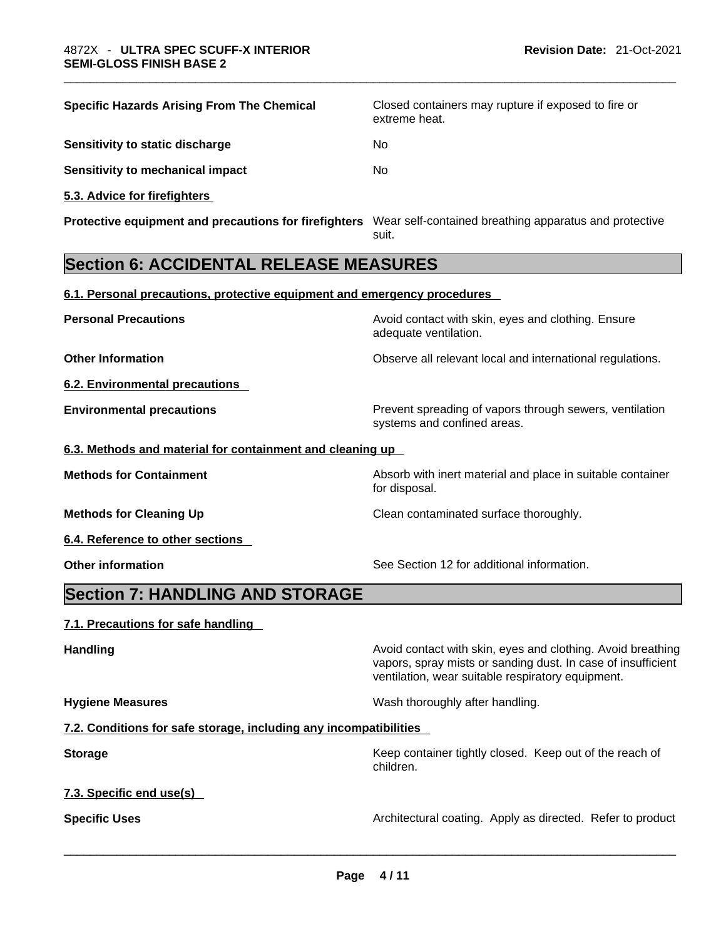| <b>Specific Hazards Arising From The Chemical</b>                                                            | Closed containers may rupture if exposed to fire or<br>extreme heat.                                                                                                             |
|--------------------------------------------------------------------------------------------------------------|----------------------------------------------------------------------------------------------------------------------------------------------------------------------------------|
| Sensitivity to static discharge                                                                              | No                                                                                                                                                                               |
| <b>Sensitivity to mechanical impact</b>                                                                      | No                                                                                                                                                                               |
| 5.3. Advice for firefighters                                                                                 |                                                                                                                                                                                  |
| Protective equipment and precautions for firefighters Wear self-contained breathing apparatus and protective | suit.                                                                                                                                                                            |
| <b>Section 6: ACCIDENTAL RELEASE MEASURES</b>                                                                |                                                                                                                                                                                  |
| 6.1. Personal precautions, protective equipment and emergency procedures                                     |                                                                                                                                                                                  |
| <b>Personal Precautions</b>                                                                                  | Avoid contact with skin, eyes and clothing. Ensure<br>adequate ventilation.                                                                                                      |
| <b>Other Information</b>                                                                                     | Observe all relevant local and international regulations.                                                                                                                        |
| <b>6.2. Environmental precautions</b>                                                                        |                                                                                                                                                                                  |
| <b>Environmental precautions</b>                                                                             | Prevent spreading of vapors through sewers, ventilation<br>systems and confined areas.                                                                                           |
| 6.3. Methods and material for containment and cleaning up                                                    |                                                                                                                                                                                  |
| <b>Methods for Containment</b>                                                                               | Absorb with inert material and place in suitable container<br>for disposal.                                                                                                      |
| <b>Methods for Cleaning Up</b>                                                                               | Clean contaminated surface thoroughly.                                                                                                                                           |
| 6.4. Reference to other sections                                                                             |                                                                                                                                                                                  |
| <b>Other information</b>                                                                                     | See Section 12 for additional information.                                                                                                                                       |
| <b>Section 7: HANDLING AND STORAGE</b>                                                                       |                                                                                                                                                                                  |
| 7.1. Precautions for safe handling                                                                           |                                                                                                                                                                                  |
| <b>Handling</b>                                                                                              | Avoid contact with skin, eyes and clothing. Avoid breathing<br>vapors, spray mists or sanding dust. In case of insufficient<br>ventilation, wear suitable respiratory equipment. |
| <b>Hygiene Measures</b>                                                                                      | Wash thoroughly after handling.                                                                                                                                                  |
| 7.2. Conditions for safe storage, including any incompatibilities                                            |                                                                                                                                                                                  |
| <b>Storage</b>                                                                                               | Keep container tightly closed. Keep out of the reach of<br>children.                                                                                                             |
| 7.3. Specific end use(s)                                                                                     |                                                                                                                                                                                  |
| <b>Specific Uses</b>                                                                                         | Architectural coating. Apply as directed. Refer to product                                                                                                                       |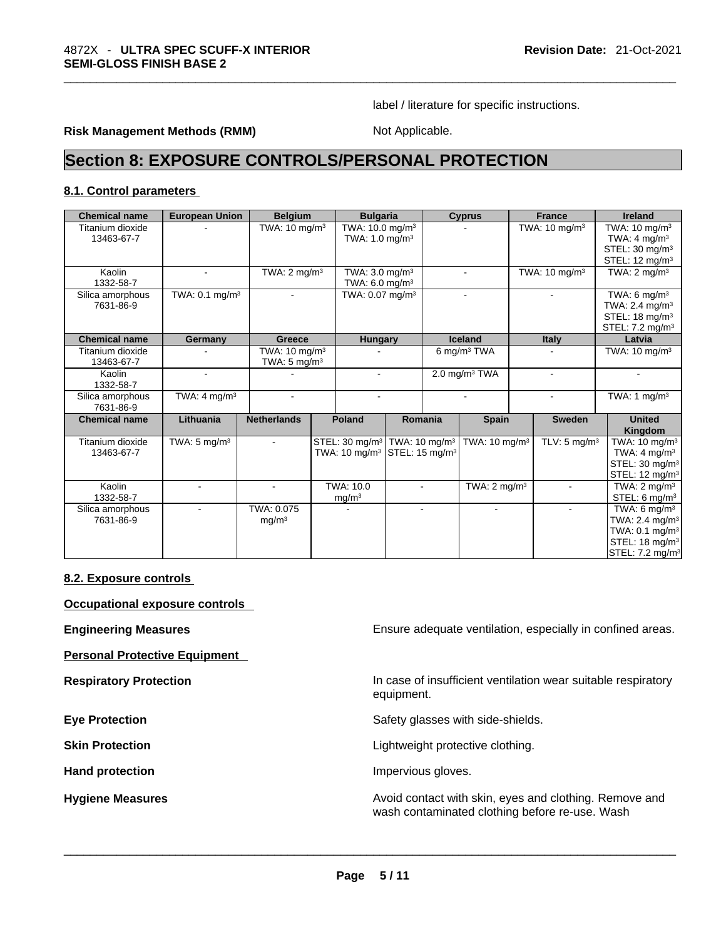label / literature for specific instructions.

### **Risk Management Methods (RMM)** Not Applicable.

# **Section 8: EXPOSURE CONTROLS/PERSONAL PROTECTION**

### **8.1. Control parameters**

| <b>Chemical name</b>           | <b>European Union</b>     | <b>Belgium</b>                                      | <b>Bulgaria</b>                                        |         | <b>Cyprus</b>             | <b>France</b>                          | <b>Ireland</b>                                |
|--------------------------------|---------------------------|-----------------------------------------------------|--------------------------------------------------------|---------|---------------------------|----------------------------------------|-----------------------------------------------|
| Titanium dioxide               |                           | TWA: 10 mg/m <sup>3</sup>                           | TWA: 10.0 mg/m <sup>3</sup>                            |         |                           | TWA: 10 mg/m <sup>3</sup>              | TWA: 10 mg/m <sup>3</sup>                     |
| 13463-67-7                     |                           |                                                     | TWA: $1.0 \text{ mg/m}^3$                              |         |                           |                                        | TWA: $4 \text{ mg/m}^3$                       |
|                                |                           |                                                     |                                                        |         |                           |                                        | STEL: 30 mg/m <sup>3</sup>                    |
|                                |                           |                                                     |                                                        |         |                           |                                        | STEL: 12 mg/m <sup>3</sup>                    |
| Kaolin<br>1332-58-7            |                           | TWA: $2 \text{ mg/m}^3$                             | TWA: $3.0 \text{ mg/m}^3$<br>TWA: $6.0 \text{ mg/m}^3$ |         |                           | TWA: $10 \text{ mg/m}^3$               | TWA: $2 \text{ mg/m}^3$                       |
| Silica amorphous               | TWA: $0.1 \text{ mg/m}^3$ |                                                     | TWA: $0.07$ mg/m <sup>3</sup>                          |         |                           |                                        | TWA: 6 mg/m $3$                               |
| 7631-86-9                      |                           |                                                     |                                                        |         |                           |                                        | TWA: $2.4 \text{ mg/m}^3$                     |
|                                |                           |                                                     |                                                        |         |                           |                                        | STEL: $18 \text{ mg/m}^3$                     |
|                                |                           |                                                     |                                                        |         |                           |                                        | STEL: 7.2 mg/m <sup>3</sup>                   |
| <b>Chemical name</b>           | Germany                   | Greece                                              | <b>Hungary</b>                                         |         | <b>Iceland</b>            | Italy                                  | Latvia                                        |
| Titanium dioxide<br>13463-67-7 |                           | TWA: $10 \text{ mg/m}^3$<br>TWA: $5 \text{ mg/m}^3$ |                                                        |         | 6 mg/m <sup>3</sup> TWA   |                                        | TWA: $10 \text{ mg/m}^3$                      |
| Kaolin<br>1332-58-7            |                           |                                                     |                                                        |         | 2.0 mg/m $3$ TWA          |                                        |                                               |
| Silica amorphous<br>7631-86-9  | TWA: $4 \text{ mg/m}^3$   |                                                     |                                                        |         |                           |                                        | TWA: 1 $mg/m3$                                |
| <b>Chemical name</b>           | Lithuania                 | <b>Netherlands</b>                                  | Poland                                                 | Romania | <b>Spain</b>              | <b>Sweden</b>                          | <b>United</b><br>Kingdom                      |
| Titanium dioxide               | TWA: $5 \text{ mg/m}^3$   | ٠                                                   | STEL: 30 mg/m <sup>3</sup>   TWA: 10 mg/m <sup>3</sup> |         | TWA: 10 mg/m <sup>3</sup> | $\overline{TLV}$ : 5 mg/m <sup>3</sup> | TWA: $10 \text{ mg/m}^3$                      |
| 13463-67-7                     |                           |                                                     | TWA: 10 mg/m <sup>3</sup> STEL: 15 mg/m <sup>3</sup>   |         |                           |                                        | TWA: $4 \text{ mg/m}^3$                       |
|                                |                           |                                                     |                                                        |         |                           |                                        | STEL: 30 mg/m <sup>3</sup>                    |
|                                |                           |                                                     |                                                        |         |                           |                                        | STEL: 12 mg/m <sup>3</sup>                    |
| Kaolin                         |                           |                                                     | TWA: 10.0                                              |         | TWA: $2 \text{ mg/m}^3$   |                                        | TWA: $2 \text{ mg/m}^3$                       |
| 1332-58-7                      |                           |                                                     | mg/m <sup>3</sup>                                      |         |                           |                                        | STEL: $6 \text{ mg/m}^3$                      |
| Silica amorphous               |                           | TWA: 0.075                                          |                                                        |         |                           |                                        | $\overline{\text{TW}}$ A: 6 mg/m <sup>3</sup> |
| 7631-86-9                      |                           | mq/m <sup>3</sup>                                   |                                                        |         |                           |                                        | TWA: $2.4 \text{ mg/m}^3$                     |
|                                |                           |                                                     |                                                        |         |                           |                                        | TWA: 0.1 mg/m <sup>3</sup>                    |
|                                |                           |                                                     |                                                        |         |                           |                                        | STEL: 18 mg/m <sup>3</sup>                    |
|                                |                           |                                                     |                                                        |         |                           |                                        | STEL: 7.2 mg/m <sup>3</sup>                   |

### **8.2. Exposure controls**

**Occupational exposure controls** 

**Personal Protective Equipment** 

**Engineering Measures Ensure 2018** Ensure adequate ventilation, especially in confined areas.

**Respiratory Protection In case of insufficient ventilation wear suitable respiratory** equipment.

**Eye Protection <b>Exercise Exercise** Safety glasses with side-shields.

**Skin Protection Contract Contract Contract Contract Contract Contract Contract Contract Contract Contract Contract Contract Contract Contract Contract Contract Contract Contract Contract Contract Contract Contract Contr** 

Hand protection **Impervious** gloves.

**Hygiene Measures Avoid contact with skin, eyes and clothing. Remove and Avoid contact with skin, eyes and clothing. Remove and** wash contaminated clothing before re-use. Wash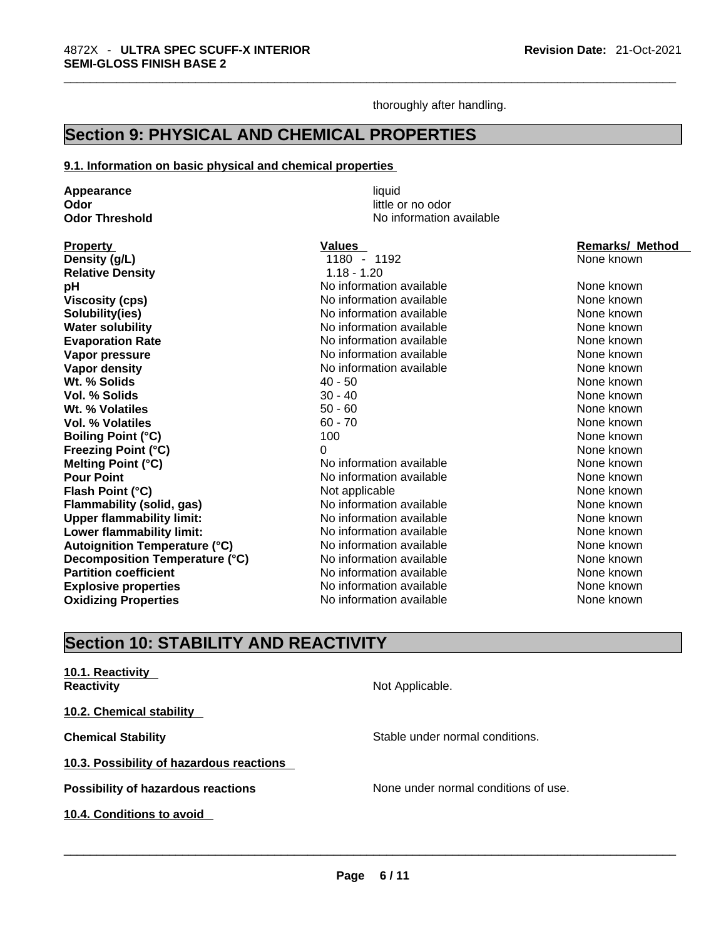thoroughly after handling.

# **Section 9: PHYSICAL AND CHEMICAL PROPERTIES**

### **9.1. Information on basic physical and chemical properties**

**Appearance liquid**<br> **Odor** little c **Odor** little or no odor **Density (g/L) Relative Density Viscosity (cps) Solubility(ies) Water solubility Evaporation Rate Vapor pressure Vapor density<br>Wt. % Solids Vol. % Solids Wt. % Volatiles Vol. % Volatiles Boiling Point (°C) Freezing Point (°C) Melting Point (°C) Flash Point (°C) Flammability** (solid, gas) **Upper flammability limit: Lower flammability limit: Autoignition Temperature (°C) Decomposition Temperature (°C) Partition coefficient Oxidizing Properties** 

**No information available** 

| <b>Property</b>                      | <b>Values</b>            | <b>Remarks/ Method</b> |
|--------------------------------------|--------------------------|------------------------|
| Density (g/L)                        | 1180 - 1192              | None known             |
| <b>Relative Density</b>              | $1.18 - 1.20$            |                        |
| рH                                   | No information available | None known             |
| <b>Viscosity (cps)</b>               | No information available | None known             |
| Solubility(ies)                      | No information available | None known             |
| <b>Water solubility</b>              | No information available | None known             |
| <b>Evaporation Rate</b>              | No information available | None known             |
| Vapor pressure                       | No information available | None known             |
| Vapor density                        | No information available | None known             |
| Wt. % Solids                         | $40 - 50$                | None known             |
| <b>Vol. % Solids</b>                 | $30 - 40$                | None known             |
| Wt. % Volatiles                      | $50 - 60$                | None known             |
| <b>Vol. % Volatiles</b>              | $60 - 70$                | None known             |
| <b>Boiling Point (°C)</b>            | 100                      | None known             |
| <b>Freezing Point (°C)</b>           | 0                        | None known             |
| <b>Melting Point (°C)</b>            | No information available | None known             |
| <b>Pour Point</b>                    | No information available | None known             |
| Flash Point (°C)                     | Not applicable           | None known             |
| Flammability (solid, gas)            | No information available | None known             |
| <b>Upper flammability limit:</b>     | No information available | None known             |
| Lower flammability limit:            | No information available | None known             |
| <b>Autoignition Temperature (°C)</b> | No information available | None known             |
| Decomposition Temperature (°C)       | No information available | None known             |
| <b>Partition coefficient</b>         | No information available | None known             |
| <b>Explosive properties</b>          | No information available | None known             |
| <b>Oxidizing Properties</b>          | No information available | None known             |

# **Section 10: STABILITY AND REACTIVITY**

| 10.1. Reactivity<br><b>Reactivity</b>     | Not Applicable.                      |
|-------------------------------------------|--------------------------------------|
| 10.2. Chemical stability                  |                                      |
| <b>Chemical Stability</b>                 | Stable under normal conditions.      |
| 10.3. Possibility of hazardous reactions  |                                      |
| <b>Possibility of hazardous reactions</b> | None under normal conditions of use. |
| 10.4. Conditions to avoid                 |                                      |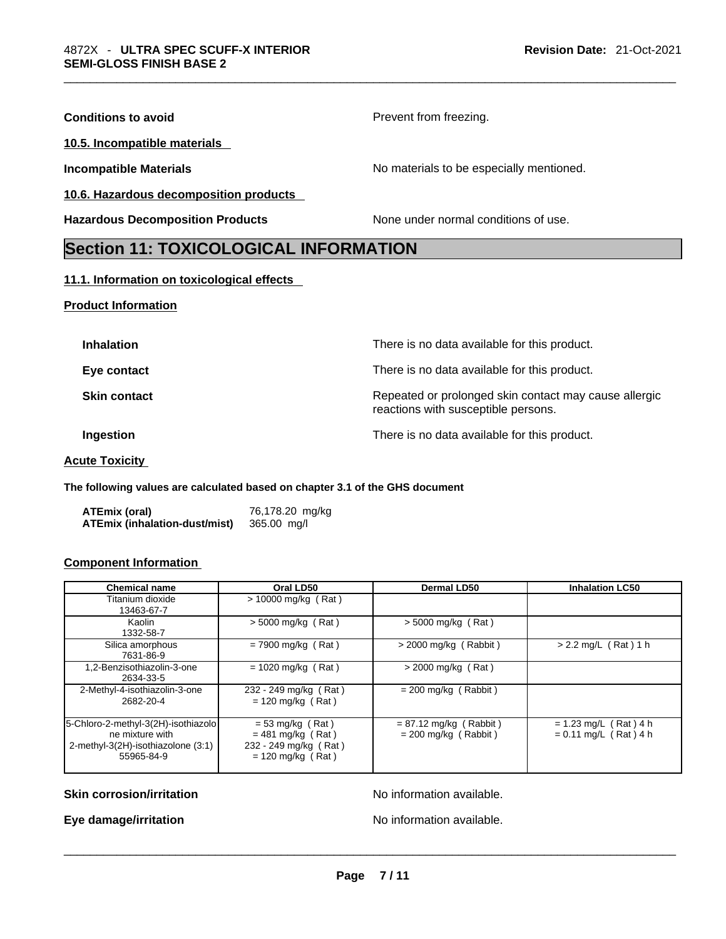| <b>Conditions to avoid</b>                   | Prevent from freezing.                   |
|----------------------------------------------|------------------------------------------|
| 10.5. Incompatible materials                 |                                          |
| <b>Incompatible Materials</b>                | No materials to be especially mentioned. |
| 10.6. Hazardous decomposition products       |                                          |
| <b>Hazardous Decomposition Products</b>      | None under normal conditions of use.     |
| <b>Section 11: TOXICOLOGICAL INFORMATION</b> |                                          |
|                                              |                                          |

### **11.1. Information on toxicological effects**

### **Product Information**

| <b>Inhalation</b>   | There is no data available for this product.                                                 |
|---------------------|----------------------------------------------------------------------------------------------|
| Eye contact         | There is no data available for this product.                                                 |
| <b>Skin contact</b> | Repeated or prolonged skin contact may cause allergic<br>reactions with susceptible persons. |
| Ingestion           | There is no data available for this product.                                                 |
|                     |                                                                                              |

### **Acute Toxicity**

**The following values are calculated based on chapter 3.1 of the GHS document**

| ATEmix (oral)                 | 76,178.20 mg/kg |
|-------------------------------|-----------------|
| ATEmix (inhalation-dust/mist) | 365.00 mg/l     |

### **Component Information**

| <b>Chemical name</b>                                                                                       | Oral LD50                                                                                 | <b>Dermal LD50</b>                                 | <b>Inhalation LC50</b>                             |
|------------------------------------------------------------------------------------------------------------|-------------------------------------------------------------------------------------------|----------------------------------------------------|----------------------------------------------------|
| Titanium dioxide<br>13463-67-7                                                                             | $> 10000$ mg/kg (Rat)                                                                     |                                                    |                                                    |
| Kaolin<br>1332-58-7                                                                                        | $>$ 5000 mg/kg (Rat)                                                                      | $>$ 5000 mg/kg (Rat)                               |                                                    |
| Silica amorphous<br>7631-86-9                                                                              | $= 7900$ mg/kg (Rat)                                                                      | $>$ 2000 mg/kg (Rabbit)                            | $> 2.2$ mg/L (Rat) 1 h                             |
| 1,2-Benzisothiazolin-3-one<br>2634-33-5                                                                    | $= 1020$ mg/kg (Rat)                                                                      | $>$ 2000 mg/kg (Rat)                               |                                                    |
| 2-Methyl-4-isothiazolin-3-one<br>2682-20-4                                                                 | 232 - 249 mg/kg (Rat)<br>$= 120$ mg/kg (Rat)                                              | $= 200$ mg/kg (Rabbit)                             |                                                    |
| 5-Chloro-2-methyl-3(2H)-isothiazolo<br>ne mixture with<br>2-methyl-3(2H)-isothiazolone (3:1)<br>55965-84-9 | $= 53$ mg/kg (Rat)<br>$= 481$ mg/kg (Rat)<br>232 - 249 mg/kg (Rat)<br>$= 120$ mg/kg (Rat) | $= 87.12$ mg/kg (Rabbit)<br>$= 200$ mg/kg (Rabbit) | $= 1.23$ mg/L (Rat) 4 h<br>$= 0.11$ mg/L (Rat) 4 h |

### **Skin corrosion/irritation No information available.**

**Eye damage/irritation** No information available. \_\_\_\_\_\_\_\_\_\_\_\_\_\_\_\_\_\_\_\_\_\_\_\_\_\_\_\_\_\_\_\_\_\_\_\_\_\_\_\_\_\_\_\_\_\_\_\_\_\_\_\_\_\_\_\_\_\_\_\_\_\_\_\_\_\_\_\_\_\_\_\_\_\_\_\_\_\_\_\_\_\_\_\_\_\_\_\_\_\_\_\_\_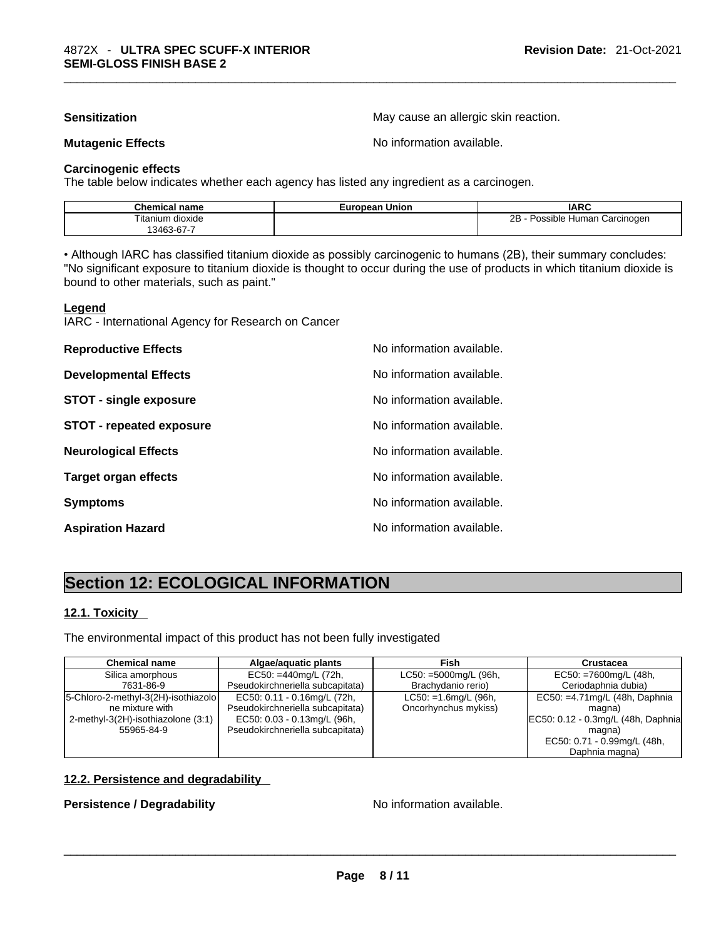**Sensitization Sensitization May cause an allergic skin reaction.** 

**Mutagenic Effects Mutagenic Effects No information available.** 

### **Carcinogenic effects**

The table below indicates whether each agency has listed any ingredient as a carcinogen.

| <b>Chemical name</b>                                                            | European Union | <b>IARC</b>                     |
|---------------------------------------------------------------------------------|----------------|---------------------------------|
| <br>$- \cdot \cdot$<br>dioxide<br>ı itanıum<br>$\sim$ $\sim$<br>3463<br>აპ-67-7 |                | 2B<br>Possible Human Carcinogen |

• Although IARC has classified titanium dioxide as possibly carcinogenic to humans (2B), their summary concludes: "No significant exposure to titanium dioxide is thought to occur during the use of products in which titanium dioxide is bound to other materials, such as paint."

### **Legend**

IARC - International Agency for Research on Cancer

| <b>Reproductive Effects</b>     | No information available. |
|---------------------------------|---------------------------|
| <b>Developmental Effects</b>    | No information available. |
| <b>STOT - single exposure</b>   | No information available. |
| <b>STOT - repeated exposure</b> | No information available. |
| <b>Neurological Effects</b>     | No information available. |
| <b>Target organ effects</b>     | No information available. |
| <b>Symptoms</b>                 | No information available. |
| <b>Aspiration Hazard</b>        | No information available. |

# **Section 12: ECOLOGICAL INFORMATION**

### **12.1. Toxicity**

The environmental impact of this product has not been fully investigated

| <b>Chemical name</b>                  | Algae/aguatic plants             | Fish                    | <b>Crustacea</b>                   |
|---------------------------------------|----------------------------------|-------------------------|------------------------------------|
| Silica amorphous                      | $EC50: = 440mg/L (72h,$          | $LC50: =5000mg/L$ (96h, | $EC50: = 7600mg/L (48h,$           |
| 7631-86-9                             | Pseudokirchneriella subcapitata) | Brachydanio rerio)      | Ceriodaphnia dubia)                |
| [5-Chloro-2-methyl-3(2H)-isothiazolo] | EC50: 0.11 - 0.16mg/L (72h,      | $LC50: =1.6$ mg/L (96h, | EC50: =4.71mg/L (48h, Daphnia      |
| ne mixture with                       | Pseudokirchneriella subcapitata) | Oncorhynchus mykiss)    | magna)                             |
| 2-methyl-3(2H)-isothiazolone (3:1)    | EC50: 0.03 - 0.13mg/L (96h,      |                         | EC50: 0.12 - 0.3mg/L (48h, Daphnia |
| 55965-84-9                            | Pseudokirchneriella subcapitata) |                         | magna)                             |
|                                       |                                  |                         | EC50: 0.71 - 0.99mg/L (48h,        |
|                                       |                                  |                         | Daphnia magna)                     |

### **12.2. Persistence and degradability**

# **Persistence / Degradability** No information available. \_\_\_\_\_\_\_\_\_\_\_\_\_\_\_\_\_\_\_\_\_\_\_\_\_\_\_\_\_\_\_\_\_\_\_\_\_\_\_\_\_\_\_\_\_\_\_\_\_\_\_\_\_\_\_\_\_\_\_\_\_\_\_\_\_\_\_\_\_\_\_\_\_\_\_\_\_\_\_\_\_\_\_\_\_\_\_\_\_\_\_\_\_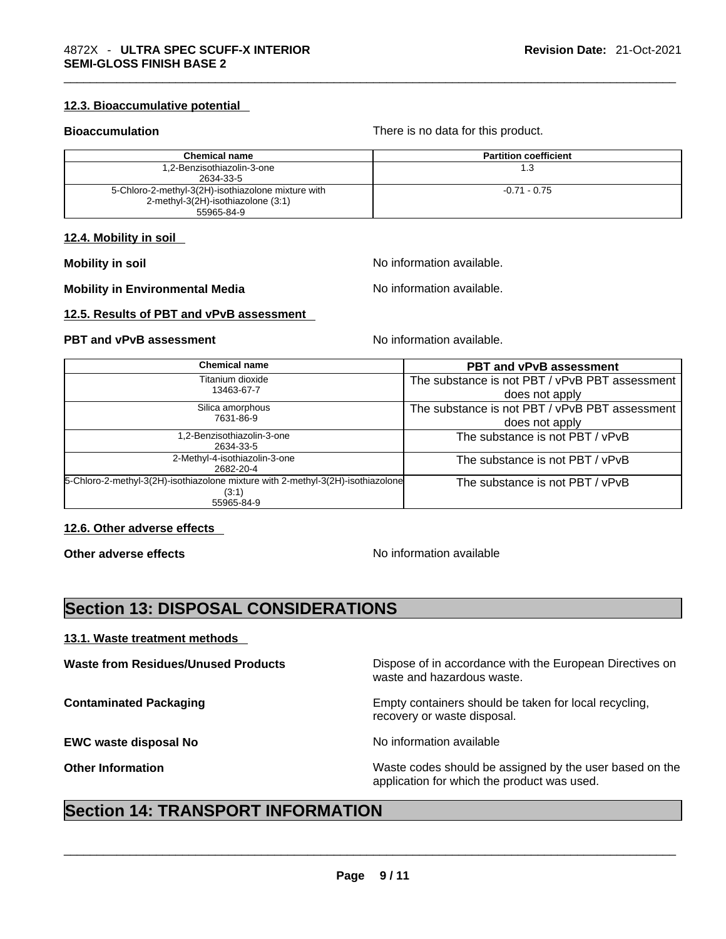### **12.3. Bioaccumulative potential**

**Bioaccumulation** There is no data for this product.

| <b>Chemical name</b>                               | <b>Partition coefficient</b> |
|----------------------------------------------------|------------------------------|
| 1,2-Benzisothiazolin-3-one                         | 1.3                          |
| 2634-33-5                                          |                              |
| 5-Chloro-2-methyl-3(2H)-isothiazolone mixture with | $-0.71 - 0.75$               |
| 2-methyl-3(2H)-isothiazolone (3:1)                 |                              |
| 55965-84-9                                         |                              |

### **12.4. Mobility in soil**

**Mobility in soil Mobility in soil Mobility in soil Mo No** information available.

**Mobility in Environmental Media** Notation available.

**12.5. Results of PBT and vPvB assessment** 

### **PBT** and **vPvB** assessment **Notify Apple 2012** No information available.

| <b>Chemical name</b>                                                                                   | <b>PBT and vPvB assessment</b>                                   |
|--------------------------------------------------------------------------------------------------------|------------------------------------------------------------------|
| Titanium dioxide<br>13463-67-7                                                                         | The substance is not PBT / vPvB PBT assessment<br>does not apply |
| Silica amorphous<br>7631-86-9                                                                          | The substance is not PBT / vPvB PBT assessment<br>does not apply |
| 1,2-Benzisothiazolin-3-one<br>2634-33-5                                                                | The substance is not PBT / vPvB                                  |
| 2-Methyl-4-isothiazolin-3-one<br>2682-20-4                                                             | The substance is not PBT / vPvB                                  |
| 5-Chloro-2-methyl-3(2H)-isothiazolone mixture with 2-methyl-3(2H)-isothiazolone<br>(3:1)<br>55965-84-9 | The substance is not PBT / vPvB                                  |

### **12.6. Other adverse effects**

**Other adverse effects No information available Other adverse effects** 

# **Section 13: DISPOSAL CONSIDERATIONS**

### **13.1. Waste treatment methods**

**EWC waste disposal No** No information available

**Waste from Residues/Unused Products** Dispose of in accordance with the European Directives on waste and hazardous waste.

**Contaminated Packaging <b>Empty Containers** should be taken for local recycling, recovery or waste disposal.

**Other Information** Maste codes should be assigned by the user based on the user based on the

# application for which the product was used. \_\_\_\_\_\_\_\_\_\_\_\_\_\_\_\_\_\_\_\_\_\_\_\_\_\_\_\_\_\_\_\_\_\_\_\_\_\_\_\_\_\_\_\_\_\_\_\_\_\_\_\_\_\_\_\_\_\_\_\_\_\_\_\_\_\_\_\_\_\_\_\_\_\_\_\_\_\_\_\_\_\_\_\_\_\_\_\_\_\_\_\_\_ **Section 14: TRANSPORT INFORMATION**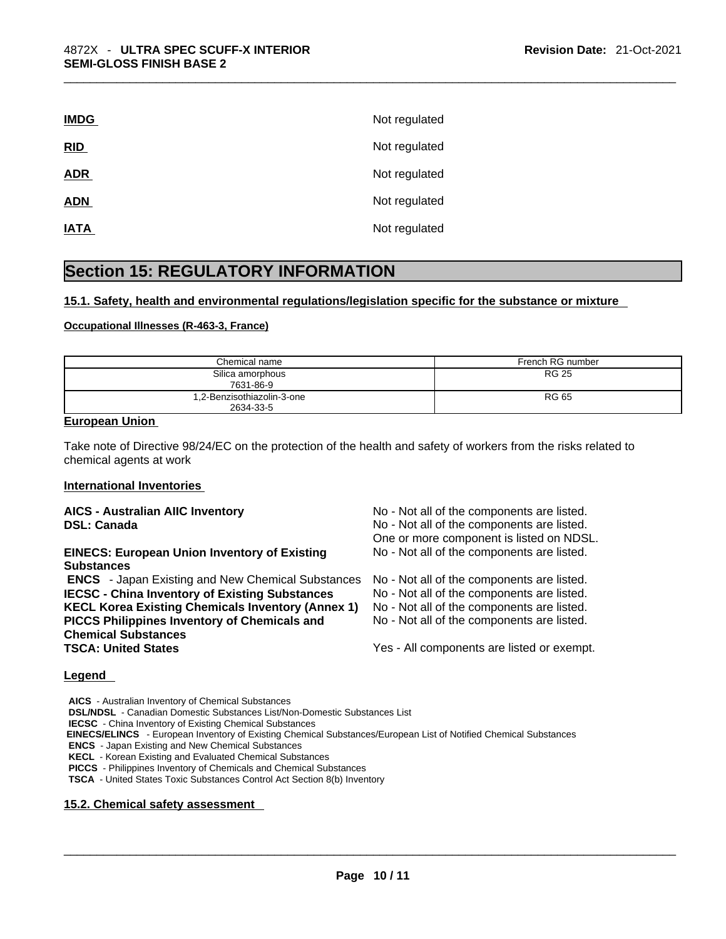| <b>IMDG</b> | Not regulated |
|-------------|---------------|
| RID         | Not regulated |
| <b>ADR</b>  | Not regulated |
| <b>ADN</b>  | Not regulated |
| <b>IATA</b> | Not regulated |
|             |               |

# **Section 15: REGULATORY INFORMATION**

### **15.1. Safety, health and environmental regulations/legislation specific for the substance or mixture**

### **Occupational Illnesses (R-463-3, France)**

| Chemical name                           | French RG number |
|-----------------------------------------|------------------|
| Silica amorphous<br>7631-86-9           | <b>RG 25</b>     |
| 1,2-Benzisothiazolin-3-one<br>2634-33-5 | RG 65            |

### **European Union**

Take note of Directive 98/24/EC on the protection of the health and safety of workers from the risks related to chemical agents at work

### **International Inventories**

| <b>AICS - Australian AIIC Inventory</b><br><b>DSL: Canada</b>                                                                                                                                                                                                                             | No - Not all of the components are listed.<br>No - Not all of the components are listed.<br>One or more component is listed on NDSL.                                                                                               |
|-------------------------------------------------------------------------------------------------------------------------------------------------------------------------------------------------------------------------------------------------------------------------------------------|------------------------------------------------------------------------------------------------------------------------------------------------------------------------------------------------------------------------------------|
| <b>EINECS: European Union Inventory of Existing</b><br><b>Substances</b>                                                                                                                                                                                                                  | No - Not all of the components are listed.                                                                                                                                                                                         |
| <b>ENCS</b> - Japan Existing and New Chemical Substances<br><b>IECSC - China Inventory of Existing Substances</b><br><b>KECL Korea Existing Chemicals Inventory (Annex 1)</b><br>PICCS Philippines Inventory of Chemicals and<br><b>Chemical Substances</b><br><b>TSCA: United States</b> | No - Not all of the components are listed.<br>No - Not all of the components are listed.<br>No - Not all of the components are listed.<br>No - Not all of the components are listed.<br>Yes - All components are listed or exempt. |

### **Legend**

**AICS** - Australian Inventory of Chemical Substances **DSL/NDSL** - Canadian Domestic Substances List/Non-Domestic Substances List **IECSC** - China Inventory of Existing Chemical Substances  **EINECS/ELINCS** - European Inventory of Existing Chemical Substances/European List of Notified Chemical Substances **ENCS** - Japan Existing and New Chemical Substances **KECL** - Korean Existing and Evaluated Chemical Substances **PICCS** - Philippines Inventory of Chemicals and Chemical Substances **TSCA** - United States Toxic Substances Control Act Section 8(b) Inventory

### **15.2. Chemical safety assessment**